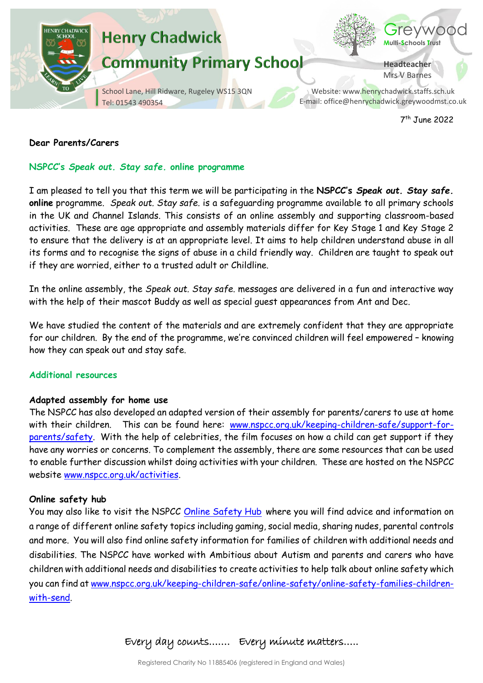

7 th June 2022

## **Dear Parents/Carers**

## **NSPCC's** *Speak out. Stay safe.* **online programme**

I am pleased to tell you that this term we will be participating in the **NSPCC's** *Speak out. Stay safe.* **online** programme. *Speak out. Stay safe.* is a safeguarding programme available to all primary schools in the UK and Channel Islands. This consists of an online assembly and supporting classroom-based activities. These are age appropriate and assembly materials differ for Key Stage 1 and Key Stage 2 to ensure that the delivery is at an appropriate level. It aims to help children understand abuse in all its forms and to recognise the signs of abuse in a child friendly way. Children are taught to speak out if they are worried, either to a trusted adult or Childline.

In the online assembly, the *Speak out. Stay safe*. messages are delivered in a fun and interactive way with the help of their mascot Buddy as well as special guest appearances from Ant and Dec.

We have studied the content of the materials and are extremely confident that they are appropriate for our children. By the end of the programme, we're convinced children will feel empowered – knowing how they can speak out and stay safe.

#### **Additional resources**

#### **Adapted assembly for home use**

The NSPCC has also developed an adapted version of their assembly for parents/carers to use at home with their children.This can be found here: [www.nspcc.org.uk/keeping-children-safe/support-for](http://www.nspcc.org.uk/keeping-children-safe/support-for-parents/safety)[parents/safety.](http://www.nspcc.org.uk/keeping-children-safe/support-for-parents/safety) With the help of celebrities, the film focuses on how a child can get support if they have any worries or concerns. To complement the assembly, there are some resources that can be used to enable further discussion whilst doing activities with your children. These are hosted on the NSPCC website [www.nspcc.org.uk/activities.](http://www.nspcc.org.uk/activities)

#### **Online safety hub**

You may also like to visit the NSPCC [Online Safety Hub](https://www.nspcc.org.uk/keeping-children-safe/online-safety) where you will find advice and information on a range of different online safety topics including gaming, social media, sharing nudes, parental controls and more. You will also find online safety information for families of children with additional needs and disabilities. The NSPCC have worked with Ambitious about Autism and parents and carers who have children with additional needs and disabilities to create activities to help talk about online safety which you can find at [www.nspcc.org.uk/keeping-children-safe/online-safety/online-safety-families-children](https://www.nspcc.org.uk/keeping-children-safe/online-safety/online-safety-families-children-with-send/)[with-send.](https://www.nspcc.org.uk/keeping-children-safe/online-safety/online-safety-families-children-with-send/)

Every day counts……. Every minute matters…..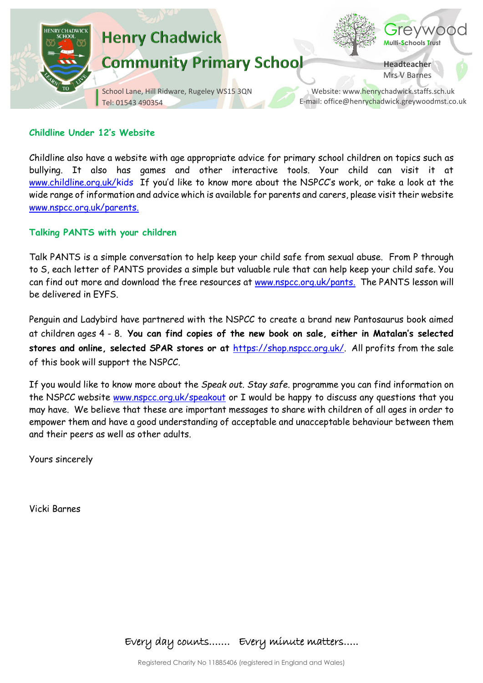

#### **Childline Under 12's Website**

Childline also have a website with age appropriate advice for primary school children on topics such as bullying. It also has games and other interactive tools. Your child can visit it at [www.childline.org.uk/kids](http://www.childline.org.uk/kids) If you'd like to know more about the NSPCC's work, or take a look at the wide range of information and advice which is available for parents and carers, please visit their website [www.nspcc.org.uk/parents.](http://www.nspcc.org.uk/parents)

#### **Talking PANTS with your children**

Talk PANTS is a simple conversation to help keep your child safe from sexual abuse. From P through to S, each letter of PANTS provides a simple but valuable rule that can help keep your child safe. You can find out more and download the free resources at [www.nspcc.org.uk/pants.](http://www.nspcc.org.uk/pants) The PANTS lesson will be delivered in EYFS.

Penguin and Ladybird have partnered with the NSPCC to create a brand new Pantosaurus book aimed at children ages 4 - 8. **You can find copies of the new book on sale, either in Matalan's selected stores and online, selected SPAR stores or at** [https://shop.nspcc.org.uk/.](https://shop.nspcc.org.uk/) All profits from the sale of this book will support the NSPCC.

If you would like to know more about the *Speak out. Stay safe.* programme you can find information on the NSPCC website [www.nspcc.org.uk/speakout](http://www.nspcc.org.uk/speakout) or I would be happy to discuss any questions that you may have. We believe that these are important messages to share with children of all ages in order to empower them and have a good understanding of acceptable and unacceptable behaviour between them and their peers as well as other adults.

Yours sincerely

Vicki Barnes

Every day counts……. Every minute matters…..